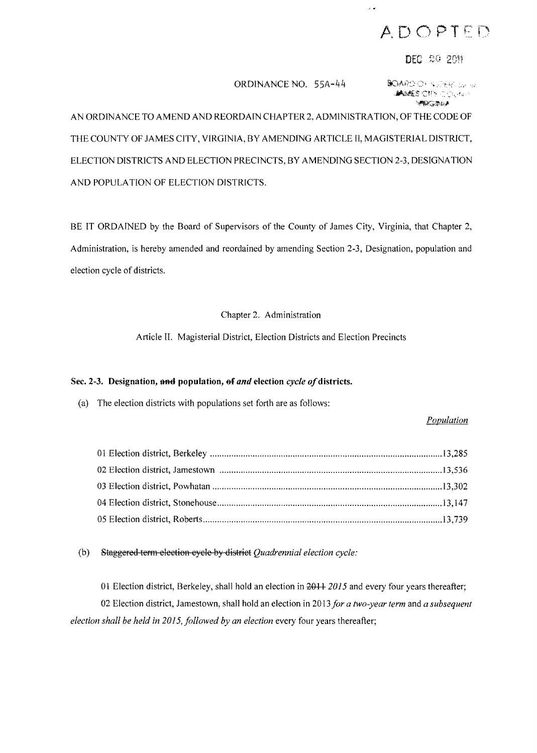# ADOPTED

 $\overline{a}$ 

## DEC 20 2011

## ORDINANCE NO. 55A-44

**BOARD OF SUPERFUGER MONES CITY COURAN WINGRAM** 

AN ORDINANCE TO AMEND AND REORDAIN CHAPTER 2, ADMINISTRATION, OF THE CODE OF THE COUNTY OF JAMES CITY, VIRGINIA, BY AMENDING ARTICLE II, MAGISTERIAL DISTRICT, ELECTION DISTRICTS AND ELECTION PRECINCTS, BY AMENDING SECTION 2-3, DESIGNATION AND POPULA TION OF ELECTION DISTRICTS.

BE IT ORDAINED by the Board of Supervisors of the County of James City, Virginia, that Chapter 2, Administration, is hereby amended and reordained by amending Section 2-3, Designation, population and election cycle of districts.

### Chapter 2. Administration

Article II. Magisterial District, Election Districts and Election Precincts

#### Sec. 2-3. Designation, and population, of and election cycle of districts.

(a) The election districts with populations set forth are as follows:

### *Population*

(b) Staggered term election cycle by district *Quadrennial election cycle:* 

01 Election district, Berkeley, shall hold an election in  $2011$  *2015* and every four years thereafter; 02 Election district, Jamestown, shall hold an election in 2013 *for a two-year term* and *a subsequent election shall be held in 2015, followed by an election* every four years thereafter;